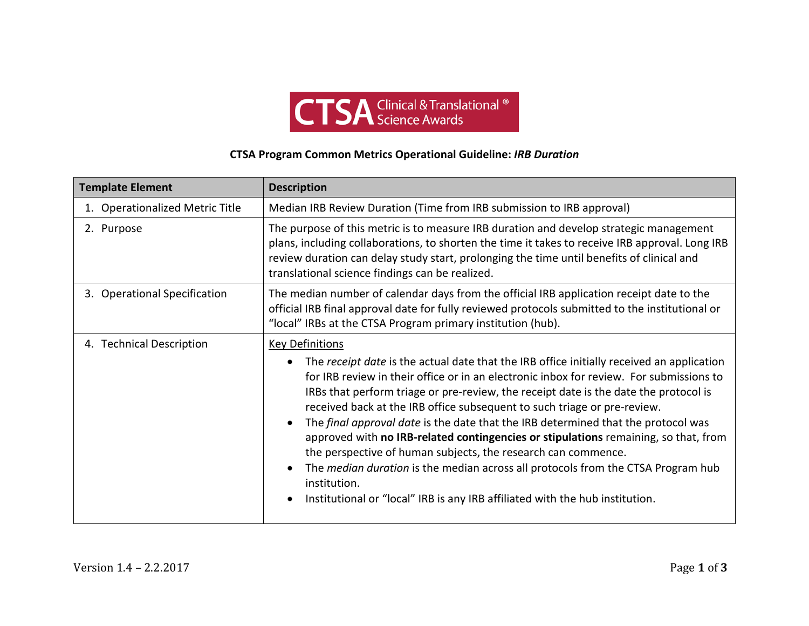

## **CTSA Program Common Metrics Operational Guideline:** *IRB Duration*

| <b>Template Element</b>         | <b>Description</b>                                                                                                                                                                                                                                                                                                                                                                                                                                                                                                                                                                                                                                                                                                                                                                                                                                   |
|---------------------------------|------------------------------------------------------------------------------------------------------------------------------------------------------------------------------------------------------------------------------------------------------------------------------------------------------------------------------------------------------------------------------------------------------------------------------------------------------------------------------------------------------------------------------------------------------------------------------------------------------------------------------------------------------------------------------------------------------------------------------------------------------------------------------------------------------------------------------------------------------|
| 1. Operationalized Metric Title | Median IRB Review Duration (Time from IRB submission to IRB approval)                                                                                                                                                                                                                                                                                                                                                                                                                                                                                                                                                                                                                                                                                                                                                                                |
| 2. Purpose                      | The purpose of this metric is to measure IRB duration and develop strategic management<br>plans, including collaborations, to shorten the time it takes to receive IRB approval. Long IRB<br>review duration can delay study start, prolonging the time until benefits of clinical and<br>translational science findings can be realized.                                                                                                                                                                                                                                                                                                                                                                                                                                                                                                            |
| 3. Operational Specification    | The median number of calendar days from the official IRB application receipt date to the<br>official IRB final approval date for fully reviewed protocols submitted to the institutional or<br>"local" IRBs at the CTSA Program primary institution (hub).                                                                                                                                                                                                                                                                                                                                                                                                                                                                                                                                                                                           |
| 4. Technical Description        | <b>Key Definitions</b><br>The receipt date is the actual date that the IRB office initially received an application<br>for IRB review in their office or in an electronic inbox for review. For submissions to<br>IRBs that perform triage or pre-review, the receipt date is the date the protocol is<br>received back at the IRB office subsequent to such triage or pre-review.<br>The final approval date is the date that the IRB determined that the protocol was<br>$\bullet$<br>approved with no IRB-related contingencies or stipulations remaining, so that, from<br>the perspective of human subjects, the research can commence.<br>The <i>median duration</i> is the median across all protocols from the CTSA Program hub<br>institution.<br>Institutional or "local" IRB is any IRB affiliated with the hub institution.<br>$\bullet$ |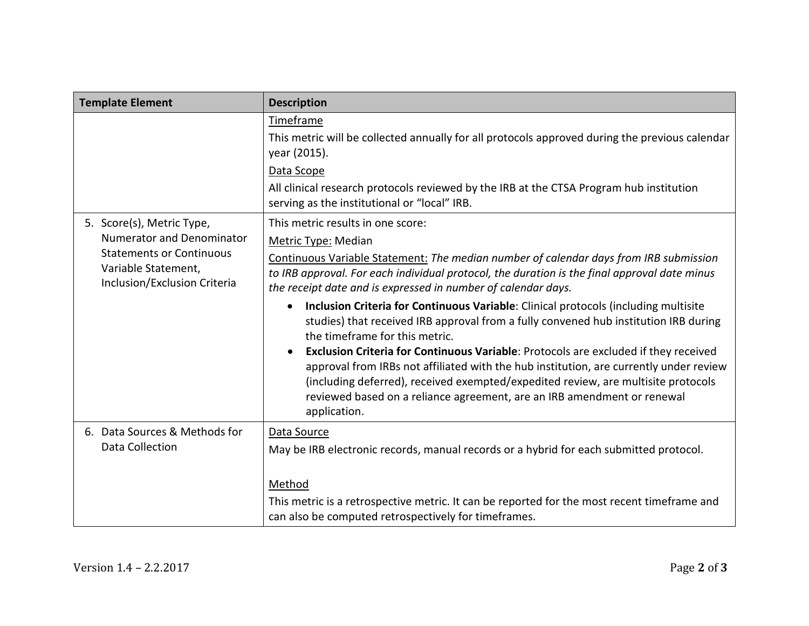| <b>Template Element</b>                                                                                                                                 | <b>Description</b>                                                                                                                                                                                                                                                                                                                                                                                                                                                                                                                                                                                                                                                                                                                                                                                                                                                                                                             |
|---------------------------------------------------------------------------------------------------------------------------------------------------------|--------------------------------------------------------------------------------------------------------------------------------------------------------------------------------------------------------------------------------------------------------------------------------------------------------------------------------------------------------------------------------------------------------------------------------------------------------------------------------------------------------------------------------------------------------------------------------------------------------------------------------------------------------------------------------------------------------------------------------------------------------------------------------------------------------------------------------------------------------------------------------------------------------------------------------|
|                                                                                                                                                         | Timeframe<br>This metric will be collected annually for all protocols approved during the previous calendar<br>year (2015).<br>Data Scope<br>All clinical research protocols reviewed by the IRB at the CTSA Program hub institution<br>serving as the institutional or "local" IRB.                                                                                                                                                                                                                                                                                                                                                                                                                                                                                                                                                                                                                                           |
| 5. Score(s), Metric Type,<br><b>Numerator and Denominator</b><br><b>Statements or Continuous</b><br>Variable Statement,<br>Inclusion/Exclusion Criteria | This metric results in one score:<br>Metric Type: Median<br>Continuous Variable Statement: The median number of calendar days from IRB submission<br>to IRB approval. For each individual protocol, the duration is the final approval date minus<br>the receipt date and is expressed in number of calendar days.<br>Inclusion Criteria for Continuous Variable: Clinical protocols (including multisite<br>$\bullet$<br>studies) that received IRB approval from a fully convened hub institution IRB during<br>the timeframe for this metric.<br>Exclusion Criteria for Continuous Variable: Protocols are excluded if they received<br>$\bullet$<br>approval from IRBs not affiliated with the hub institution, are currently under review<br>(including deferred), received exempted/expedited review, are multisite protocols<br>reviewed based on a reliance agreement, are an IRB amendment or renewal<br>application. |
| 6. Data Sources & Methods for<br><b>Data Collection</b>                                                                                                 | Data Source<br>May be IRB electronic records, manual records or a hybrid for each submitted protocol.<br>Method<br>This metric is a retrospective metric. It can be reported for the most recent timeframe and<br>can also be computed retrospectively for timeframes.                                                                                                                                                                                                                                                                                                                                                                                                                                                                                                                                                                                                                                                         |